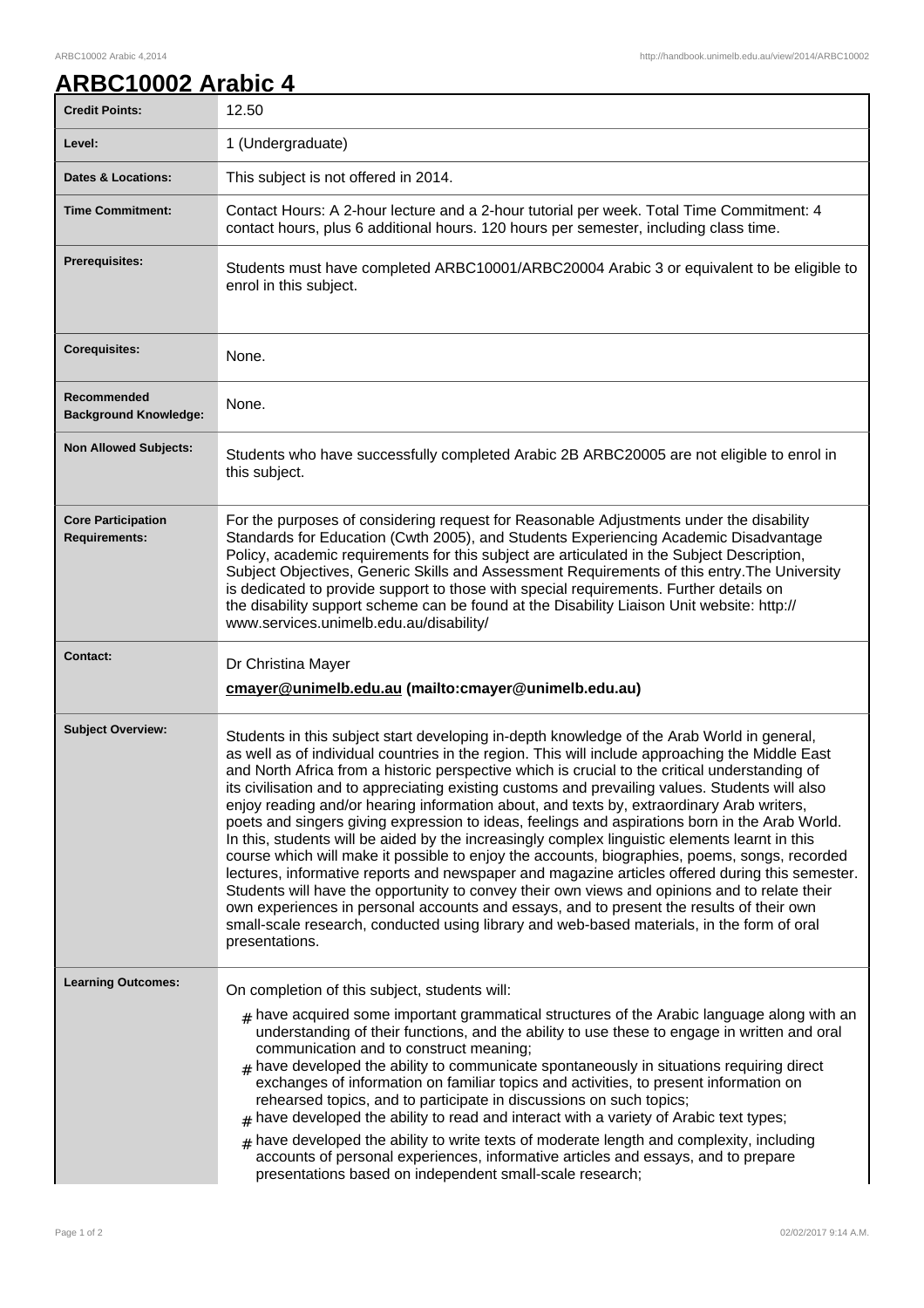## **ARBC10002 Arabic 4**

| <b>Credit Points:</b>                             | 12.50                                                                                                                                                                                                                                                                                                                                                                                                                                                                                                                                                                                                                                                                                                                                                                                                                                                                                                                                                                                                                                                                                                                                                                                                                |
|---------------------------------------------------|----------------------------------------------------------------------------------------------------------------------------------------------------------------------------------------------------------------------------------------------------------------------------------------------------------------------------------------------------------------------------------------------------------------------------------------------------------------------------------------------------------------------------------------------------------------------------------------------------------------------------------------------------------------------------------------------------------------------------------------------------------------------------------------------------------------------------------------------------------------------------------------------------------------------------------------------------------------------------------------------------------------------------------------------------------------------------------------------------------------------------------------------------------------------------------------------------------------------|
| Level:                                            | 1 (Undergraduate)                                                                                                                                                                                                                                                                                                                                                                                                                                                                                                                                                                                                                                                                                                                                                                                                                                                                                                                                                                                                                                                                                                                                                                                                    |
| <b>Dates &amp; Locations:</b>                     | This subject is not offered in 2014.                                                                                                                                                                                                                                                                                                                                                                                                                                                                                                                                                                                                                                                                                                                                                                                                                                                                                                                                                                                                                                                                                                                                                                                 |
| <b>Time Commitment:</b>                           | Contact Hours: A 2-hour lecture and a 2-hour tutorial per week. Total Time Commitment: 4<br>contact hours, plus 6 additional hours. 120 hours per semester, including class time.                                                                                                                                                                                                                                                                                                                                                                                                                                                                                                                                                                                                                                                                                                                                                                                                                                                                                                                                                                                                                                    |
| Prerequisites:                                    | Students must have completed ARBC10001/ARBC20004 Arabic 3 or equivalent to be eligible to<br>enrol in this subject.                                                                                                                                                                                                                                                                                                                                                                                                                                                                                                                                                                                                                                                                                                                                                                                                                                                                                                                                                                                                                                                                                                  |
| <b>Corequisites:</b>                              | None.                                                                                                                                                                                                                                                                                                                                                                                                                                                                                                                                                                                                                                                                                                                                                                                                                                                                                                                                                                                                                                                                                                                                                                                                                |
| Recommended<br><b>Background Knowledge:</b>       | None.                                                                                                                                                                                                                                                                                                                                                                                                                                                                                                                                                                                                                                                                                                                                                                                                                                                                                                                                                                                                                                                                                                                                                                                                                |
| <b>Non Allowed Subjects:</b>                      | Students who have successfully completed Arabic 2B ARBC20005 are not eligible to enrol in<br>this subject.                                                                                                                                                                                                                                                                                                                                                                                                                                                                                                                                                                                                                                                                                                                                                                                                                                                                                                                                                                                                                                                                                                           |
| <b>Core Participation</b><br><b>Requirements:</b> | For the purposes of considering request for Reasonable Adjustments under the disability<br>Standards for Education (Cwth 2005), and Students Experiencing Academic Disadvantage<br>Policy, academic requirements for this subject are articulated in the Subject Description,<br>Subject Objectives, Generic Skills and Assessment Requirements of this entry. The University<br>is dedicated to provide support to those with special requirements. Further details on<br>the disability support scheme can be found at the Disability Liaison Unit website: http://<br>www.services.unimelb.edu.au/disability/                                                                                                                                                                                                                                                                                                                                                                                                                                                                                                                                                                                                     |
| <b>Contact:</b>                                   | Dr Christina Mayer                                                                                                                                                                                                                                                                                                                                                                                                                                                                                                                                                                                                                                                                                                                                                                                                                                                                                                                                                                                                                                                                                                                                                                                                   |
|                                                   | cmayer@unimelb.edu.au (mailto:cmayer@unimelb.edu.au)                                                                                                                                                                                                                                                                                                                                                                                                                                                                                                                                                                                                                                                                                                                                                                                                                                                                                                                                                                                                                                                                                                                                                                 |
| <b>Subject Overview:</b>                          | Students in this subject start developing in-depth knowledge of the Arab World in general,<br>as well as of individual countries in the region. This will include approaching the Middle East<br>and North Africa from a historic perspective which is crucial to the critical understanding of<br>its civilisation and to appreciating existing customs and prevailing values. Students will also<br>enjoy reading and/or hearing information about, and texts by, extraordinary Arab writers,<br>poets and singers giving expression to ideas, feelings and aspirations born in the Arab World.<br>In this, students will be aided by the increasingly complex linguistic elements learnt in this<br>course which will make it possible to enjoy the accounts, biographies, poems, songs, recorded<br>lectures, informative reports and newspaper and magazine articles offered during this semester.<br>Students will have the opportunity to convey their own views and opinions and to relate their<br>own experiences in personal accounts and essays, and to present the results of their own<br>small-scale research, conducted using library and web-based materials, in the form of oral<br>presentations. |
| <b>Learning Outcomes:</b>                         | On completion of this subject, students will:                                                                                                                                                                                                                                                                                                                                                                                                                                                                                                                                                                                                                                                                                                                                                                                                                                                                                                                                                                                                                                                                                                                                                                        |
|                                                   | $_{\text{\#}}$ have acquired some important grammatical structures of the Arabic language along with an<br>understanding of their functions, and the ability to use these to engage in written and oral<br>communication and to construct meaning;<br>have developed the ability to communicate spontaneously in situations requiring direct<br>#<br>exchanges of information on familiar topics and activities, to present information on<br>rehearsed topics, and to participate in discussions on such topics;<br>have developed the ability to read and interact with a variety of Arabic text types;<br>have developed the ability to write texts of moderate length and complexity, including<br>#<br>accounts of personal experiences, informative articles and essays, and to prepare<br>presentations based on independent small-scale research;                                                                                                                                                                                                                                                                                                                                                            |